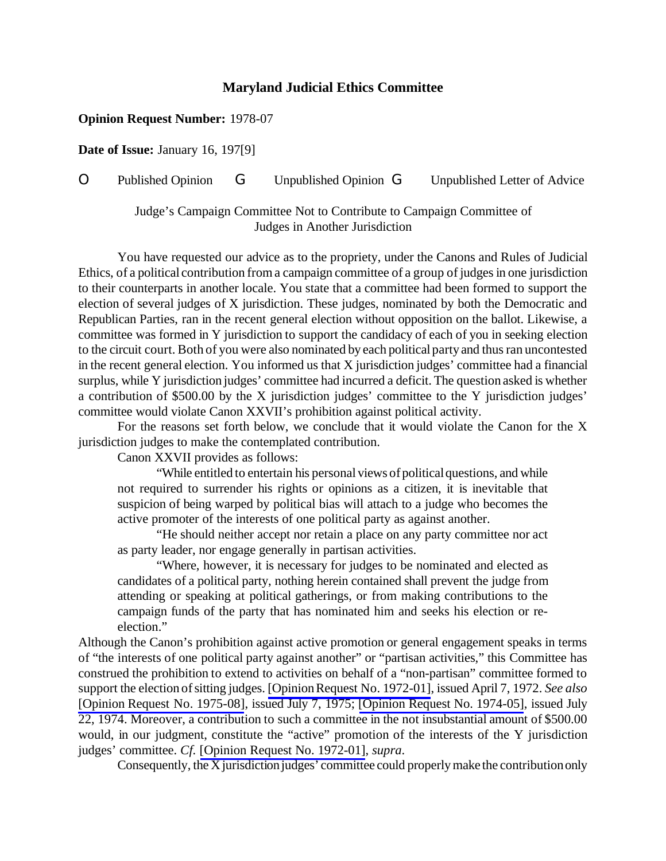## **Maryland Judicial Ethics Committee**

## **Opinion Request Number:** 1978-07

**Date of Issue:** January 16, 197[9]

## O Published Opinion G Unpublished Opinion G Unpublished Letter of Advice

Judge's Campaign Committee Not to Contribute to Campaign Committee of Judges in Another Jurisdiction

You have requested our advice as to the propriety, under the Canons and Rules of Judicial Ethics, of a political contribution from a campaign committee of a group of judges in one jurisdiction to their counterparts in another locale. You state that a committee had been formed to support the election of several judges of X jurisdiction. These judges, nominated by both the Democratic and Republican Parties, ran in the recent general election without opposition on the ballot. Likewise, a committee was formed in Y jurisdiction to support the candidacy of each of you in seeking election to the circuit court. Both of you were also nominated by each political party and thus ran uncontested in the recent general election. You informed us that X jurisdiction judges' committee had a financial surplus, while Y jurisdiction judges' committee had incurred a deficit. The question asked is whether a contribution of \$500.00 by the X jurisdiction judges' committee to the Y jurisdiction judges' committee would violate Canon XXVII's prohibition against political activity.

For the reasons set forth below, we conclude that it would violate the Canon for the X jurisdiction judges to make the contemplated contribution.

Canon XXVII provides as follows:

"While entitled to entertain his personal views of political questions, and while not required to surrender his rights or opinions as a citizen, it is inevitable that suspicion of being warped by political bias will attach to a judge who becomes the active promoter of the interests of one political party as against another.

"He should neither accept nor retain a place on any party committee nor act as party leader, nor engage generally in partisan activities.

"Where, however, it is necessary for judges to be nominated and elected as candidates of a political party, nothing herein contained shall prevent the judge from attending or speaking at political gatherings, or from making contributions to the campaign funds of the party that has nominated him and seeks his election or reelection."

Although the Canon's prohibition against active promotion or general engagement speaks in terms of "the interests of one political party against another" or "partisan activities," this Committee has construed the prohibition to extend to activities on behalf of a "non-partisan" committee formed to support the election ofsitting judges. [\[OpinionRequest](http://www.mdcourts.gov/ethics/pdfs/1972-01.pdf) No. 1972-01], issued April 7, 1972. *See also* [Opinion Request No. [1975-08\]](http://www.mdcourts.gov/ethics/pdfs/1975-08.pdf), issued July 7, 1975; [\[Opinion Request No. 1974-05\]](http://www.mdcourts.gov/ethics/pdfs/1974-05.pdf), issued July 22, 1974. Moreover, a contribution to such a committee in the not insubstantial amount of \$500.00 would, in our judgment, constitute the "active" promotion of the interests of the Y jurisdiction judges' committee. *Cf.* [\[Opinion Request No. 1972-01\]](http://www.mdcourts.gov/ethics/pdfs/1972-01.pdf), *supra*.

Consequently, the X jurisdiction judges' committee could properly make the contribution only